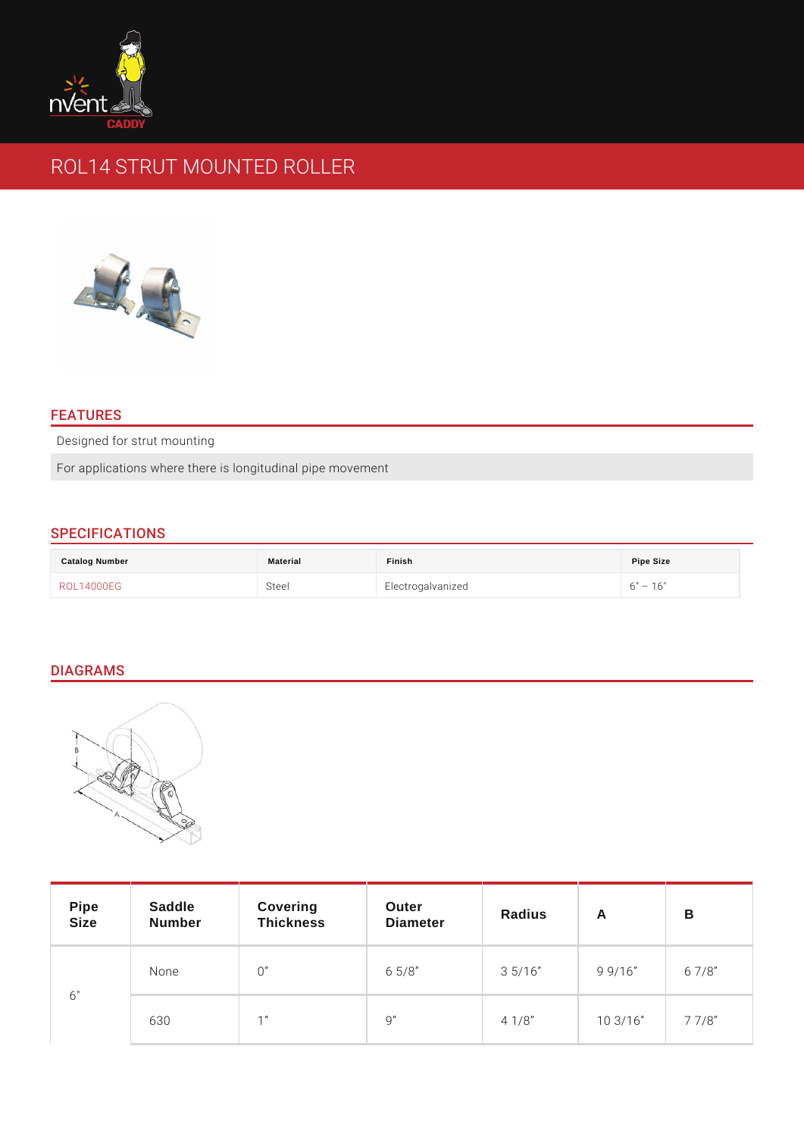# ROL14 STRUT MOUNTED ROLLER

# FEATURES

Designed for strut mounting

For applications where there is longitudinal pipe movement

# SPECIFICATIONS

| Catalog Number | Material | Finish            | Pipe Size  |
|----------------|----------|-------------------|------------|
| ROL14000EG     | Steel    | Electrogalvanized | 16"<br>6 " |

## DIAGRAMS

| Pipe<br>Size | Saddle<br>Number | Covering<br>Thickness | Outer<br>Diameter | Radius      | A           | B         |
|--------------|------------------|-----------------------|-------------------|-------------|-------------|-----------|
| 6 "          | None             | 0                     | $6\;\;5/8$        | $3\;\;5/16$ | 99/16       | 67/8      |
|              | 630              |                       | 9                 | $4 \t1/8$   | $10 \t3/16$ | $7 \t7/8$ |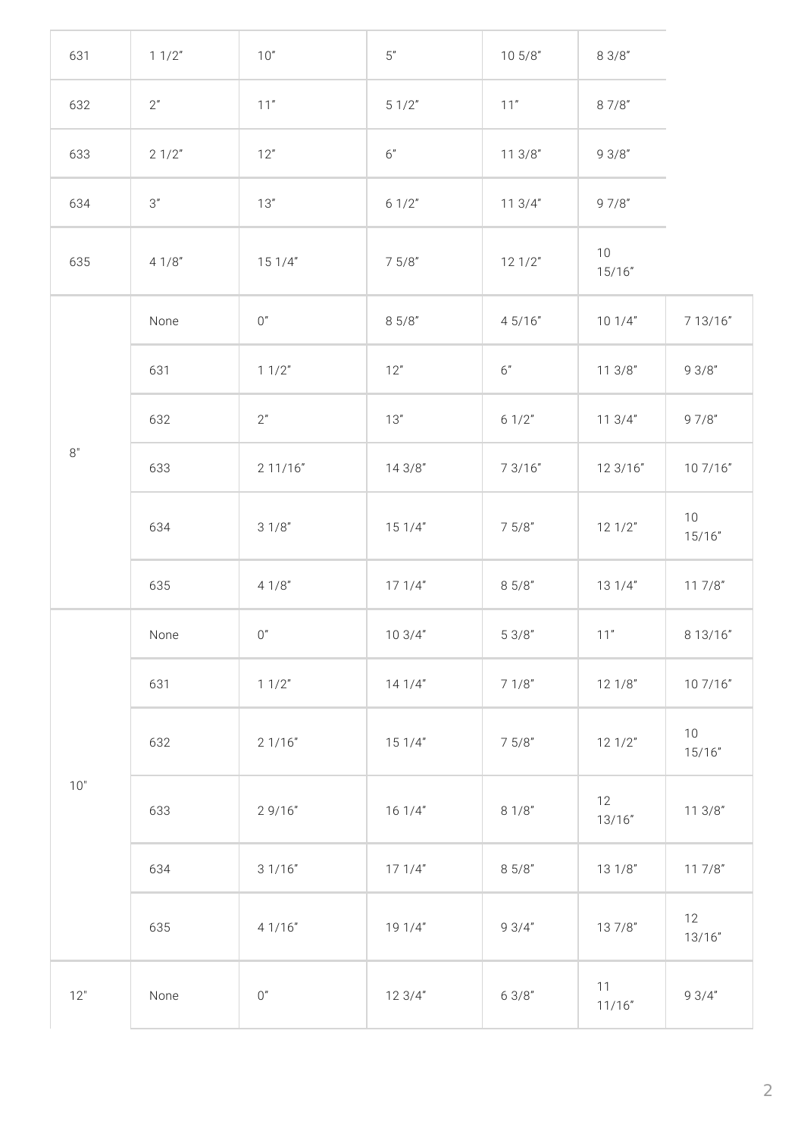| 631           | 11/2" | 10"     | $5"$   | 105/8"  | 83/8"        |              |
|---------------|-------|---------|--------|---------|--------------|--------------|
| 632           | 2"    | $11"$   | 51/2"  | $11"$   | 87/8"        |              |
| 633           | 21/2" | 12"     | 6"     | 113/8"  | 93/8"        |              |
| 634           | $3"$  | 13"     | 61/2"  | 113/4"  | 97/8"        |              |
| 635           | 41/8" | 151/4"  | 75/8"  | 121/2"  | 10<br>15/16" |              |
|               | None  | $0"$    | 85/8"  | 4 5/16" | 101/4"       | 7 13/16"     |
|               | 631   | 11/2"   | 12"    | $6"$    | 113/8"       | 93/8"        |
|               | 632   | 2"      | 13"    | 61/2"   | 113/4"       | 97/8"        |
| $8"$<br>$10"$ | 633   | 211/16" | 143/8" | 7 3/16" | 12 3/16"     | 10 7/16"     |
|               | 634   | 31/8"   | 151/4" | 75/8"   | 121/2"       | 10<br>15/16" |
|               | 635   | 41/8"   | 171/4" | 85/8"   | 131/4"       | 117/8"       |
|               | None  | 0''     | 103/4" | 53/8"   | 11"          | 8 13/16"     |
|               | 631   | 11/2"   | 141/4" | 71/8"   | 121/8"       | 10 7/16"     |
|               | 632   | 21/16"  | 151/4" | 75/8"   | 121/2"       | 10<br>15/16" |
|               | 633   | 29/16"  | 161/4" | 81/8"   | 12<br>13/16" | 113/8"       |
|               | 634   | 31/16"  | 171/4" | 85/8"   | 131/8"       | 117/8"       |
|               | 635   | 4 1/16" | 191/4" | 93/4"   | 137/8"       | 12<br>13/16" |
| 12"           | None  | $0''$   | 123/4" | 63/8"   | 11<br>11/16" | 93/4"        |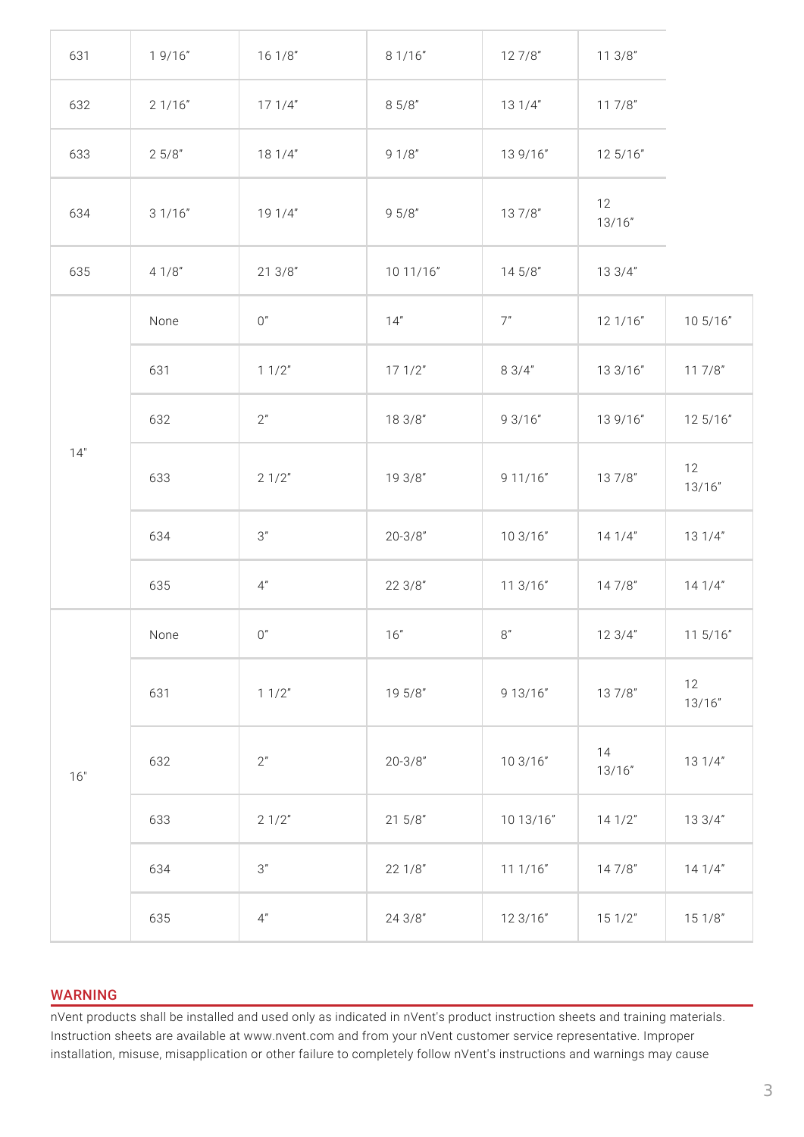| 631 | 19/16" | 161/8"  | 8 1/16"     | 127/8"    | 113/8"       |              |
|-----|--------|---------|-------------|-----------|--------------|--------------|
| 632 | 21/16" | 171/4"  | 85/8"       | 131/4"    | 117/8"       |              |
| 633 | 25/8"  | 181/4"  | 91/8"       | 13 9/16"  | 12 5/16"     |              |
| 634 | 31/16" | 19 1/4" | 95/8"       | 137/8"    | 12<br>13/16" |              |
| 635 | 41/8"  | 213/8"  | 10 11/16"   | 145/8"    | 133/4"       |              |
|     | None   | $0"$    | 14"         | 7"        | 121/16"      | 10 5/16"     |
| 14" | 631    | 11/2"   | 171/2"      | 83/4"     | 13 3/16"     | 117/8"       |
|     | 632    | $2"$    | 18 3/8"     | 9 3/16"   | 13 9/16"     | 12 5/16"     |
|     | 633    | 21/2"   | 19 3/8"     | 9 11/16"  | 137/8"       | 12<br>13/16" |
|     | 634    | $3"$    | $20 - 3/8"$ | 10 3/16"  | 141/4"       | 131/4"       |
|     | 635    | 4"      | 223/8"      | 11 3/16"  | 147/8"       | 141/4"       |
|     | None   | $0"$    | 16"         | $8''$     | 123/4"       | 11 5/16"     |
| 16" | 631    | 11/2"   | 19 5/8"     | 9 13/16"  | 137/8"       | 12<br>13/16" |
|     | 632    | 2"      | $20 - 3/8"$ | 10 3/16"  | 14<br>13/16" | 131/4"       |
|     | 633    | 21/2"   | 215/8"      | 10 13/16" | 141/2"       | 13 3/4"      |
|     | 634    | $3"$    | 22 1/8"     | 11 1/16"  | 147/8"       | 141/4"       |
|     | 635    | 4"      | 24 3/8"     | 12 3/16"  | 151/2"       | 151/8"       |

## WARNING

nVent products shall be installed and used only as indicated in nVent's product instruction sheets and training materials. Instruction sheets are available at www.nvent.com and from your nVent customer service representative. Improper installation, misuse, misapplication or other failure to completely follow nVent's instructions and warnings may cause